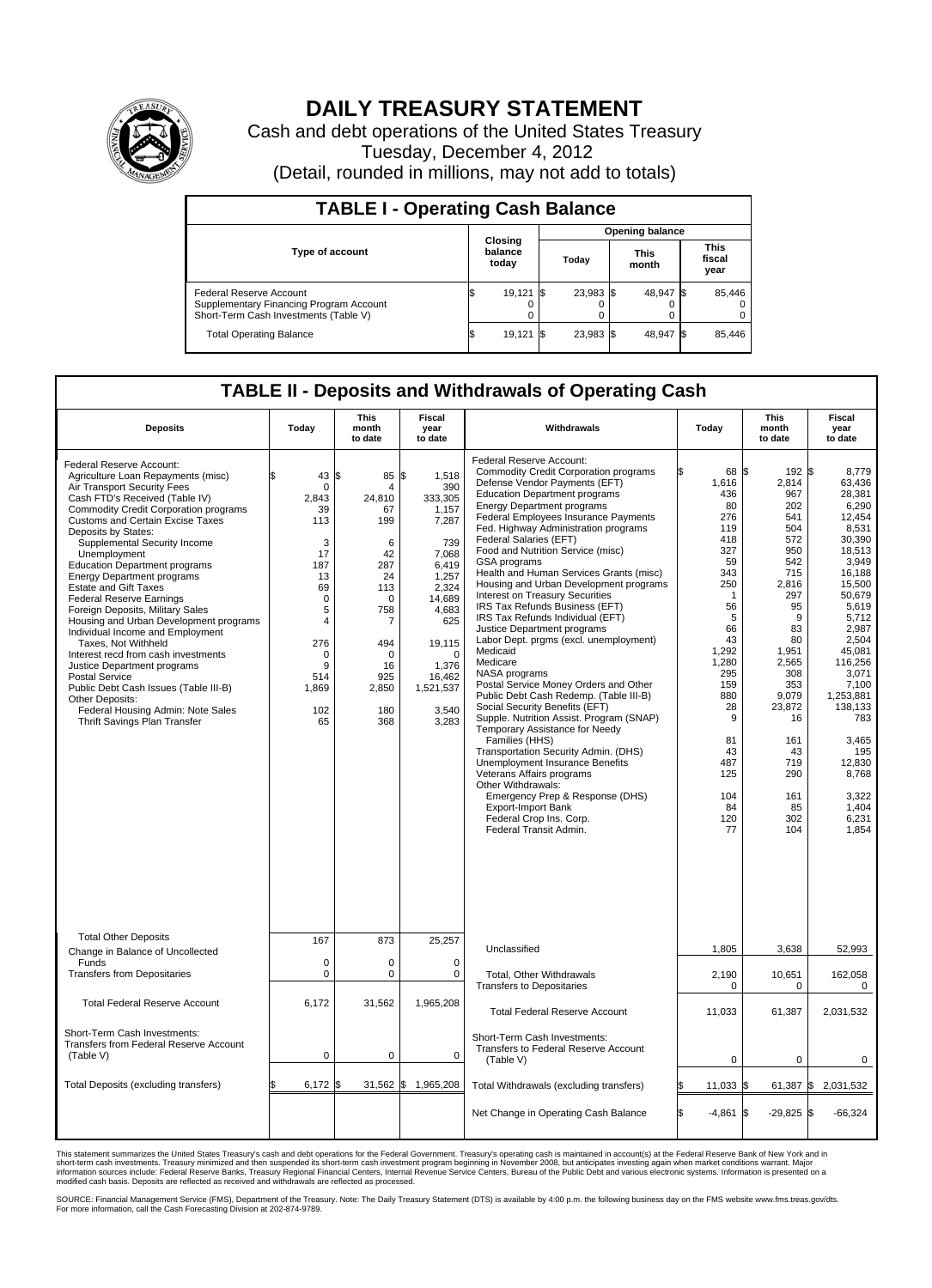

## **DAILY TREASURY STATEMENT**

Cash and debt operations of the United States Treasury Tuesday, December 4, 2012 (Detail, rounded in millions, may not add to totals)

| <b>TABLE I - Operating Cash Balance</b>                                                                     |                                                              |          |           |  |           |                               |                         |  |  |  |
|-------------------------------------------------------------------------------------------------------------|--------------------------------------------------------------|----------|-----------|--|-----------|-------------------------------|-------------------------|--|--|--|
|                                                                                                             | Opening balance                                              |          |           |  |           |                               |                         |  |  |  |
| <b>Type of account</b>                                                                                      | Closing<br>balance<br><b>This</b><br>Today<br>today<br>month |          |           |  |           | <b>This</b><br>fiscal<br>year |                         |  |  |  |
| Federal Reserve Account<br>Supplementary Financing Program Account<br>Short-Term Cash Investments (Table V) | 19,121                                                       | -15<br>0 | 23,983 \$ |  | 48,947 \$ |                               | 85,446<br>$\Omega$<br>0 |  |  |  |
| <b>Total Operating Balance</b>                                                                              | 19,121                                                       |          | 23,983 \$ |  | 48,947 \$ |                               | 85,446                  |  |  |  |

## **TABLE II - Deposits and Withdrawals of Operating Cash**

| <b>Deposits</b>                                                                                                                                                                                                                                                                                                                                                                                                                                                                                                                                                                                                                                                                                                                                                                                                            | Todav                                                                                                                       | This<br>month<br>to date                                                                                                              | Fiscal<br>vear<br>to date                                                                                                                                                                       | Withdrawals                                                                                                                                                                                                                                                                                                                                                                                                                                                                                                                                                                                                                                                                                                                                                                                                                                                                                                                                                                                                                                                                                                                                                 | Today                                                                                                                                                                                                                    | This<br>month<br>to date                                                                                                                                                                                                                           | Fiscal<br>year<br>to date                                                                                                                                                                                                                                                                         |
|----------------------------------------------------------------------------------------------------------------------------------------------------------------------------------------------------------------------------------------------------------------------------------------------------------------------------------------------------------------------------------------------------------------------------------------------------------------------------------------------------------------------------------------------------------------------------------------------------------------------------------------------------------------------------------------------------------------------------------------------------------------------------------------------------------------------------|-----------------------------------------------------------------------------------------------------------------------------|---------------------------------------------------------------------------------------------------------------------------------------|-------------------------------------------------------------------------------------------------------------------------------------------------------------------------------------------------|-------------------------------------------------------------------------------------------------------------------------------------------------------------------------------------------------------------------------------------------------------------------------------------------------------------------------------------------------------------------------------------------------------------------------------------------------------------------------------------------------------------------------------------------------------------------------------------------------------------------------------------------------------------------------------------------------------------------------------------------------------------------------------------------------------------------------------------------------------------------------------------------------------------------------------------------------------------------------------------------------------------------------------------------------------------------------------------------------------------------------------------------------------------|--------------------------------------------------------------------------------------------------------------------------------------------------------------------------------------------------------------------------|----------------------------------------------------------------------------------------------------------------------------------------------------------------------------------------------------------------------------------------------------|---------------------------------------------------------------------------------------------------------------------------------------------------------------------------------------------------------------------------------------------------------------------------------------------------|
| Federal Reserve Account:<br>Agriculture Loan Repayments (misc)<br>Air Transport Security Fees<br>Cash FTD's Received (Table IV)<br><b>Commodity Credit Corporation programs</b><br><b>Customs and Certain Excise Taxes</b><br>Deposits by States:<br>Supplemental Security Income<br>Unemployment<br><b>Education Department programs</b><br><b>Energy Department programs</b><br><b>Estate and Gift Taxes</b><br><b>Federal Reserve Earnings</b><br>Foreign Deposits, Military Sales<br>Housing and Urban Development programs<br>Individual Income and Employment<br>Taxes, Not Withheld<br>Interest recd from cash investments<br>Justice Department programs<br><b>Postal Service</b><br>Public Debt Cash Issues (Table III-B)<br>Other Deposits:<br>Federal Housing Admin: Note Sales<br>Thrift Savings Plan Transfer | 43 \$<br>0<br>2.843<br>39<br>113<br>3<br>17<br>187<br>13<br>69<br>0<br>5<br>4<br>276<br>0<br>9<br>514<br>1,869<br>102<br>65 | 85<br>4<br>24,810<br>67<br>199<br>6<br>42<br>287<br>24<br>113<br>0<br>758<br>7<br>494<br>$\Omega$<br>16<br>925<br>2,850<br>180<br>368 | \$<br>1,518<br>390<br>333,305<br>1,157<br>7,287<br>739<br>7.068<br>6.419<br>1,257<br>2,324<br>14,689<br>4,683<br>625<br>19,115<br>$\mathbf 0$<br>1,376<br>16,462<br>1,521,537<br>3.540<br>3,283 | Federal Reserve Account:<br><b>Commodity Credit Corporation programs</b><br>Defense Vendor Payments (EFT)<br><b>Education Department programs</b><br><b>Energy Department programs</b><br>Federal Employees Insurance Payments<br>Fed. Highway Administration programs<br>Federal Salaries (EFT)<br>Food and Nutrition Service (misc)<br>GSA programs<br>Health and Human Services Grants (misc)<br>Housing and Urban Development programs<br><b>Interest on Treasury Securities</b><br>IRS Tax Refunds Business (EFT)<br>IRS Tax Refunds Individual (EFT)<br>Justice Department programs<br>Labor Dept. prgms (excl. unemployment)<br>Medicaid<br>Medicare<br>NASA programs<br>Postal Service Money Orders and Other<br>Public Debt Cash Redemp. (Table III-B)<br>Social Security Benefits (EFT)<br>Supple. Nutrition Assist. Program (SNAP)<br>Temporary Assistance for Needy<br>Families (HHS)<br>Transportation Security Admin. (DHS)<br><b>Unemployment Insurance Benefits</b><br>Veterans Affairs programs<br>Other Withdrawals:<br>Emergency Prep & Response (DHS)<br><b>Export-Import Bank</b><br>Federal Crop Ins. Corp.<br>Federal Transit Admin. | 68 \$<br>1,616<br>436<br>80<br>276<br>119<br>418<br>327<br>59<br>343<br>250<br>$\mathbf{1}$<br>56<br>5<br>66<br>43<br>1,292<br>1,280<br>295<br>159<br>880<br>28<br>9<br>81<br>43<br>487<br>125<br>104<br>84<br>120<br>77 | $192$ $\overline{\text{s}}$<br>2,814<br>967<br>202<br>541<br>504<br>572<br>950<br>542<br>715<br>2,816<br>297<br>95<br>9<br>83<br>80<br>1.951<br>2,565<br>308<br>353<br>9,079<br>23,872<br>16<br>161<br>43<br>719<br>290<br>161<br>85<br>302<br>104 | 8.779<br>63,436<br>28,381<br>6,290<br>12.454<br>8,531<br>30,390<br>18.513<br>3,949<br>16,188<br>15,500<br>50,679<br>5,619<br>5,712<br>2,987<br>2.504<br>45.081<br>116,256<br>3,071<br>7,100<br>1,253,881<br>138,133<br>783<br>3,465<br>195<br>12,830<br>8,768<br>3,322<br>1.404<br>6,231<br>1,854 |
| <b>Total Other Deposits</b><br>Change in Balance of Uncollected                                                                                                                                                                                                                                                                                                                                                                                                                                                                                                                                                                                                                                                                                                                                                            | 167                                                                                                                         | 873                                                                                                                                   | 25,257                                                                                                                                                                                          | Unclassified                                                                                                                                                                                                                                                                                                                                                                                                                                                                                                                                                                                                                                                                                                                                                                                                                                                                                                                                                                                                                                                                                                                                                | 1,805                                                                                                                                                                                                                    | 3,638                                                                                                                                                                                                                                              | 52,993                                                                                                                                                                                                                                                                                            |
| Funds<br><b>Transfers from Depositaries</b>                                                                                                                                                                                                                                                                                                                                                                                                                                                                                                                                                                                                                                                                                                                                                                                | 0<br>0                                                                                                                      | $\mathbf 0$<br>$\mathbf 0$                                                                                                            | $\mathbf 0$<br>$\mathbf 0$                                                                                                                                                                      | <b>Total, Other Withdrawals</b><br><b>Transfers to Depositaries</b>                                                                                                                                                                                                                                                                                                                                                                                                                                                                                                                                                                                                                                                                                                                                                                                                                                                                                                                                                                                                                                                                                         | 2,190<br>$\mathbf 0$                                                                                                                                                                                                     | 10,651<br>0                                                                                                                                                                                                                                        | 162,058<br>0                                                                                                                                                                                                                                                                                      |
| <b>Total Federal Reserve Account</b>                                                                                                                                                                                                                                                                                                                                                                                                                                                                                                                                                                                                                                                                                                                                                                                       | 6,172                                                                                                                       | 31,562                                                                                                                                | 1,965,208                                                                                                                                                                                       | <b>Total Federal Reserve Account</b>                                                                                                                                                                                                                                                                                                                                                                                                                                                                                                                                                                                                                                                                                                                                                                                                                                                                                                                                                                                                                                                                                                                        | 11,033                                                                                                                                                                                                                   | 61,387                                                                                                                                                                                                                                             | 2,031,532                                                                                                                                                                                                                                                                                         |
| Short-Term Cash Investments:<br>Transfers from Federal Reserve Account<br>(Table V)                                                                                                                                                                                                                                                                                                                                                                                                                                                                                                                                                                                                                                                                                                                                        | $\mathbf 0$                                                                                                                 | 0                                                                                                                                     | $\mathbf 0$                                                                                                                                                                                     | Short-Term Cash Investments:<br>Transfers to Federal Reserve Account<br>(Table V)                                                                                                                                                                                                                                                                                                                                                                                                                                                                                                                                                                                                                                                                                                                                                                                                                                                                                                                                                                                                                                                                           | $\mathbf 0$                                                                                                                                                                                                              | 0                                                                                                                                                                                                                                                  | 0                                                                                                                                                                                                                                                                                                 |
| Total Deposits (excluding transfers)                                                                                                                                                                                                                                                                                                                                                                                                                                                                                                                                                                                                                                                                                                                                                                                       | $6,172$ \$                                                                                                                  | 31,562                                                                                                                                | \$<br>1,965,208                                                                                                                                                                                 | Total Withdrawals (excluding transfers)                                                                                                                                                                                                                                                                                                                                                                                                                                                                                                                                                                                                                                                                                                                                                                                                                                                                                                                                                                                                                                                                                                                     | 11,033 \$                                                                                                                                                                                                                | 61,387 $\vert \$                                                                                                                                                                                                                                   | 2,031,532                                                                                                                                                                                                                                                                                         |
|                                                                                                                                                                                                                                                                                                                                                                                                                                                                                                                                                                                                                                                                                                                                                                                                                            |                                                                                                                             |                                                                                                                                       |                                                                                                                                                                                                 | Net Change in Operating Cash Balance                                                                                                                                                                                                                                                                                                                                                                                                                                                                                                                                                                                                                                                                                                                                                                                                                                                                                                                                                                                                                                                                                                                        | $-4,861$ \$<br>ß.                                                                                                                                                                                                        | $-29,825$ \$                                                                                                                                                                                                                                       | $-66,324$                                                                                                                                                                                                                                                                                         |

This statement summarizes the United States Treasury's cash and debt operations for the Federal Government. Treasury's operating cash is maintained in account(s) at the Federal Reserve Bank of New York and in<br>short-term ca

SOURCE: Financial Management Service (FMS), Department of the Treasury. Note: The Daily Treasury Statement (DTS) is available by 4:00 p.m. the following business day on the FMS website www.fms.treas.gov/dts.<br>For more infor